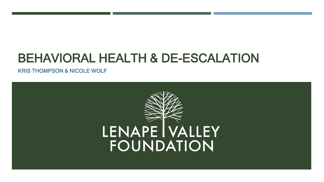## BEHAVIORAL HEALTH & DE-ESCALATION

KRIS THOMPSON & NICOLE WOLF

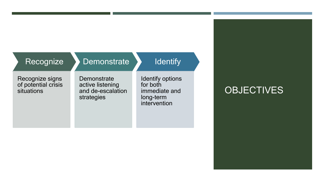| Recognize |  |
|-----------|--|
|           |  |

#### **Demonstrate**

#### **Identify**

Recognize signs of potential crisis situations

**Demonstrate** active listening and de-escalation strategies

Identify options for both immediate and long-term intervention

## **OBJECTIVES**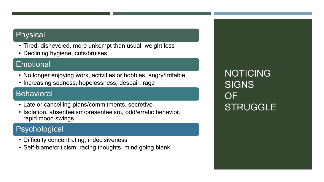#### Physical

- Tired, disheveled, more unkempt than usual, weight loss
- Declining hygiene, cuts/bruises

#### **Emotional**

- No longer enjoying work, activities or hobbies, angry/irritable
- Increasing sadness, hopelessness, despair, rage

#### **Behavioral**

- Late or cancelling plans/commitments, secretive
- Isolation, absenteeism/presenteeism, odd/erratic behavior, rapid mood swings

### Psychological

- Difficulty concentrating, indecisiveness
- Self-blame/criticism, racing thoughts, mind going blank

NOTICING **SIGNS** OF **STRUGGLE**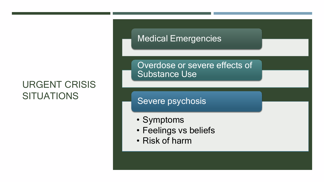## URGENT CRISIS **SITUATIONS**

### **Medical Emergencies**

Overdose or severe effects of Substance Use

Severe psychosis

- Symptoms
- Feelings vs beliefs
- Risk of harm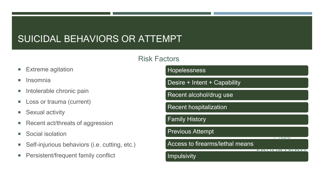## SUICIDAL BEHAVIORS OR ATTEMPT

#### **Risk Fag**

- **Extreme agitation**
- **Insomnia**
- **Intolerable chronic pain**
- **Loss or trauma (current)**
- **Sexual activity**
- Recent act/threats of aggression
- Social isolation
- **Self-injurious behaviors (i.e. cutting, etc.)**
- **Persistent/frequent family conflict**

| ctors                                  |        |
|----------------------------------------|--------|
| Hopelessness                           |        |
| Desire + Intent + Capability           |        |
| Recent alcohol/drug use                |        |
| <b>Recent hospitalization</b>          |        |
| <b>Family History</b>                  |        |
| <b>Previous Attempt</b>                |        |
| <b>Access to firearms/lethal means</b> | $\sim$ |
| Impulsivity                            |        |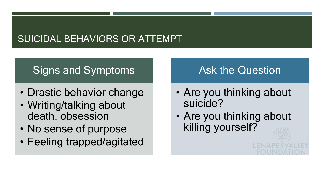## SUICIDAL BEHAVIORS OR ATTEMPT

## Signs and Symptoms

- Drastic behavior change
- Writing/talking about death, obsession
- No sense of purpose
- Feeling trapped/agitated

## Ask the Question

- Are you thinking about suicide?
- Are you thinking about killing yourself?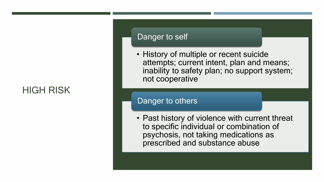## HIGH RISK

#### Danger to self

• History of multiple or recent suicide attempts; current intent, plan and means; inability to safety plan; no support system; not cooperative

#### Danger to others

• Past history of violence with current threat to specific individual or combination of psychosis, not taking medications as prescribed and substance abuse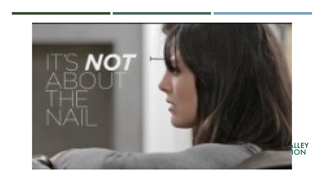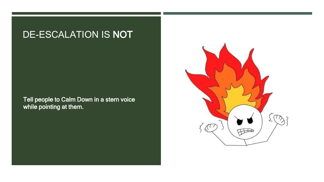## DE-ESCALATION IS NOT

Tell people to Calm Down in a stern voice while pointing at them.

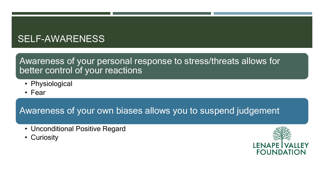## SELF-AWARENESS

### Awareness of your personal response to stress/threats allows for better control of your reactions

- Physiological
- Fear

Awareness of your own biases allows you to suspend judgement

- Unconditional Positive Regard
- Curiosity

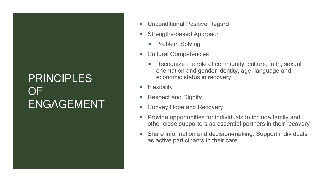## PRINCIPLES OF ENGAGEMENT

- Unconditional Positive Regard
- Strengths-based Approach
	- **Problem Solving**
- Cultural Competencies
	- Recognize the role of community, culture, faith, sexual orientation and gender identity, age, language and economic status in recovery
- Flexibility
- Respect and Dignity
- Convey Hope and Recovery
- Provide opportunities for individuals to include family and other close supporters as essential partners in their recovery
- Share information and decision-making. Support individuals as active participants in their care.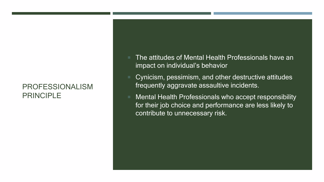#### PROFESSIONALISM PRINCIPLE

- The attitudes of Mental Health Professionals have an impact on individual's behavior
- Cynicism, pessimism, and other destructive attitudes frequently aggravate assaultive incidents.
- Mental Health Professionals who accept responsibility for their job choice and performance are less likely to contribute to unnecessary risk.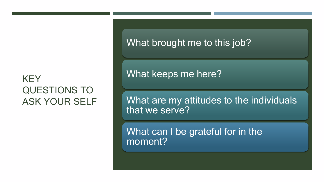## **KEY** QUESTIONS TO ASK YOUR SELF

What brought me to this job?

What keeps me here?

What are my attitudes to the individuals that we serve?

What can I be grateful for in the moment?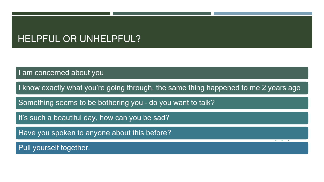## HELPFUL OR UNHELPFUL?

I am concerned about you

I know exactly what you're going through, the same thing happened to me 2 years ago

Something seems to be bothering you – do you want to talk?

It's such a beautiful day, how can you be sad?

Have you spoken to anyone about this before?

Pull yourself together.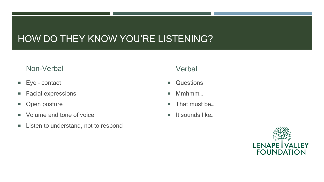## HOW DO THEY KNOW YOU'RE LISTENING?

#### Non-Verbal

- Eye contact
- **Facial expressions**
- **•** Open posture
- Volume and tone of voice
- **EXTERG** Listen to understand, not to respond

#### **Verbal**

- **Questions**
- Mmhmm...
- That must be...
- $\blacksquare$  It sounds like...

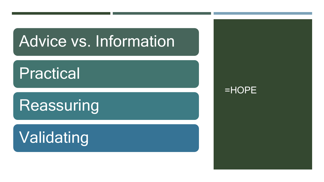# Advice vs. Information

## Practical

# Reassuring

# Validating

### =HOPE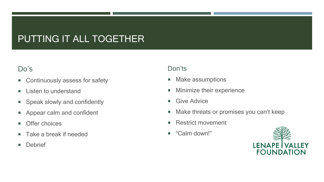## PUTTING IT ALL TOGETHER

#### Do's

- **EX Continuously assess for safety**
- **Listen to understand**
- **Speak slowly and confidently**
- **Appear calm and confident**
- **Offer choices**
- Take a break if needed
- **Debrief**

#### Don'ts

- **Make assumptions**
- **Minimize their experience**
- **Give Advice**
- **Make threats or promises you can't keep**
- Restrict movement
- "Calm down!"

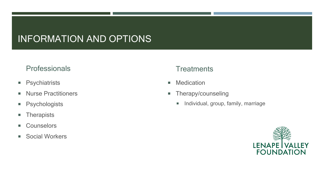## INFORMATION AND OPTIONS

#### **Professionals**

- **Psychiatrists**
- **Nurse Practitioners**
- **Psychologists**
- **Therapists**
- **Counselors**
- Social Workers

#### **Treatments**

- **Nedication**
- **Therapy/counseling** 
	- **Individual, group, family, marriage**

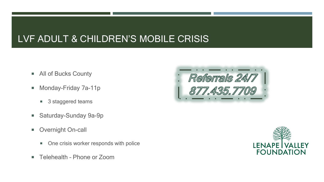## LVF ADULT & CHILDREN'S MOBILE CRISIS

- **All of Bucks County**
- **Monday-Friday 7a-11p** 
	- 3 staggered teams
- Saturday-Sunday 9a-9p
- **Deall** Overnight On-call
	- One crisis worker responds with police
- Telehealth Phone or Zoom



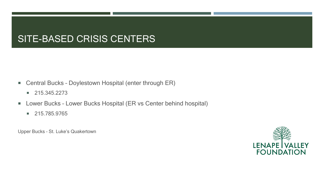## SITE-BASED CRISIS CENTERS

- Central Bucks Doylestown Hospital (enter through ER)
	- $\blacksquare$  215.345.2273
- Lower Bucks Lower Bucks Hospital (ER vs Center behind hospital)
	- 215.785.9765

Upper Bucks – St. Luke's Quakertown

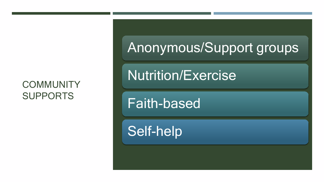## **COMMUNITY** SUPPORTS

Anonymous/Support groups

Nutrition/Exercise

Faith-based

Self-help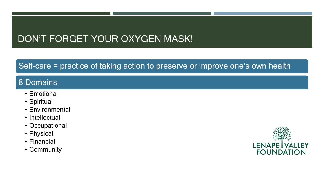## DON'T FORGET YOUR OXYGEN MASK!

### Self-care = practice of taking action to preserve or improve one's own health

### 8 Domains

- Emotional
- Spiritual
- Environmental
- Intellectual
- Occupational
- Physical
- Financial
- Community